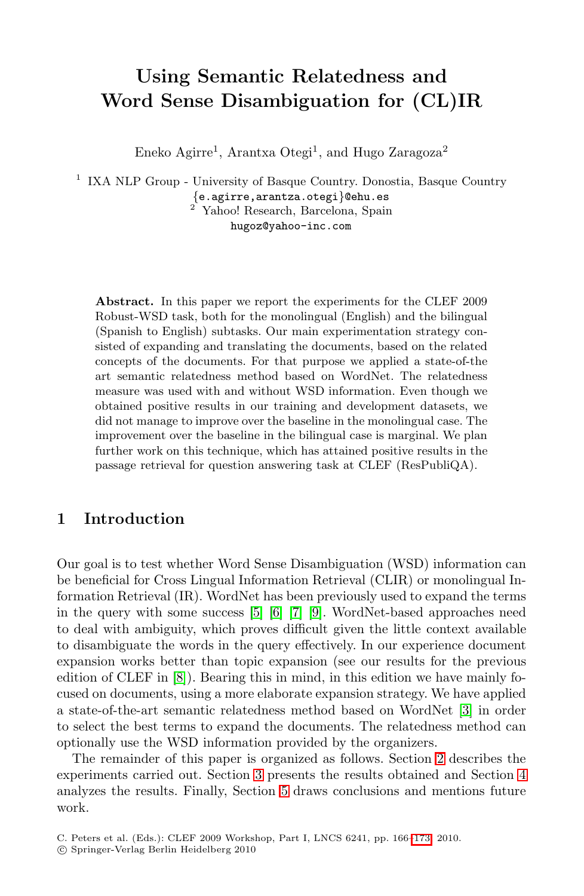# **Using Semantic Relatedness and Word Sense Disambiguation for (CL)IR**

Eneko Agirre<sup>1</sup>, Arantxa Otegi<sup>1</sup>, and Hugo Zaragoza<sup>2</sup>

<sup>1</sup> IXA NLP Group - University of Basque Country. Donostia, Basque Country {e.agirre,arantza.otegi}@ehu.es <sup>2</sup> Yahoo! Research, Barcelona, Spain hugoz@yahoo-inc.com

**Abstract.** In this paper we report the experiments for the CLEF 2009 Robust-WSD task, both for the monolingual (English) and the bilingual (Spanish to English) subtasks. Our main experimentation strategy consisted of expanding and translating the documents, based on the related concepts of the documents. For that purpose we applied a state-of-the art semantic relatedness method based on WordNet. The relatedness measure was used with and without WSD information. Even though we obtained positive results in our training and development datasets, we did not manage to improve over the baseline in the monolingual case. The improvement over the baseline in the bilingual case is marginal. We plan further work on this technique, which has attained positive results in the passage retrieval for question answering task at CLEF (ResPubliQA).

# **1 Introduction**

[Ou](#page-7-0)r goal is to test whether Word Sense Disambiguation (WSD) information can be beneficial for Cross Lingual Information Retrie[va](#page-7-1)l (CLIR) or monolingual Information Retrieval (IR). WordNet has been previously used to expand the terms in the query with some success [5] [6] [7] [9]. WordNet-based approaches need to deal with ambiguity, which proves difficul[t](#page-1-0) given the little context available to disambigua[te](#page-4-0) the words in the query effectively. In our [exp](#page-6-0)erience document expansion works b[et](#page-6-1)ter than topic expansion (see our results for the previous edition of CLEF in [8]). Bearing this in mind, in this edition we have mainly focused on documents, using a more elaborate expansion strategy. We have applied a state-of-the-art semantic relatedness [meth](#page-7-2)od based on WordNet [3] in order to select the best terms to expand the documents. The relatedness method can optionally use the WSD information provided by the organizers.

The remainder of this paper is organized as follows. Section 2 describes the experiments carried out. Section 3 presents the results obtained and Section 4 analyzes the results. Finally, Section 5 draws conclusions and mentions future work.

C. Peters et al. (Eds.): CLEF 2009 Workshop, Part I, LNCS 6241, pp. 166–173, 2010.

<sup>-</sup>c Springer-Verlag Berlin Heidelberg 2010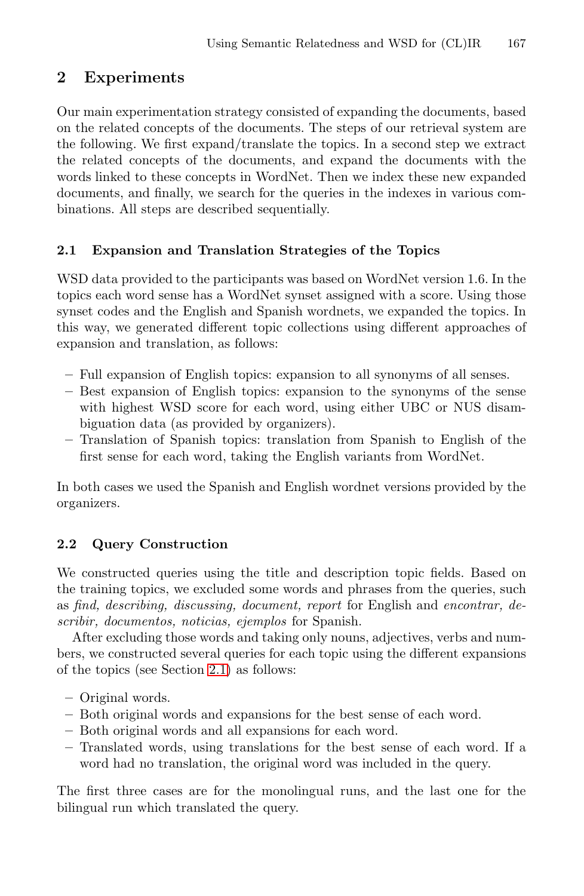# <span id="page-1-0"></span>**2 Experiments**

<span id="page-1-1"></span>Our main experimentation strategy consisted of expanding the documents, based on the related concepts of the documents. The steps of our retrieval system are the following. We first expand/translate the topics. In a second step we extract the related concepts of the documents, and expand the documents with the words linked to these concepts in WordNet. Then we index these new expanded documents, and finally, we search for the queries in the indexes in various combinations. All steps are described sequentially.

# **2.1 Expansion and Translation Strategies of the Topics**

WSD data provided to the participants was based on WordNet version 1.6. In the topics each word sense has a WordNet synset assigned with a score. Using those synset codes and the English and Spanish wordnets, we expanded the topics. In this way, we generated different topic collections using different approaches of expansion and translation, as follows:

- **–** Full expansion of English topics: expansion to all synonyms of all senses.
- **–** Best expansion of English topics: expansion to the synonyms of the sense with highest WSD score for each word, using either UBC or NUS disambiguation data (as provided by organizers).
- **–** Translation of Spanish topics: translation from Spanish to English of the first sense for each word, taking the English variants from WordNet.

In both cases we used the Spanish and English wordnet versions provided by the organizers.

### **2.2 [Que](#page-1-1)ry Construction**

We constructed queries using the title and description topic fields. Based on the training topics, we excluded some words and phrases from the queries, such as *find, describing, discussing, document, report* for English and *encontrar, describir, documentos, noticias, ejemplos* for Spanish.

After excluding those words and taking only nouns, adjectives, verbs and numbers, we constructed several queries for each topic using the different expansions of the topics (see Section 2.1) as follows:

- **–** Original words.
- **–** Both original words and expansions for the best sense of each word.
- **–** Both original words and all expansions for each word.
- **–** Translated words, using translations for the best sense of each word. If a word had no translation, the original word was included in the query.

The first three cases are for the monolingual runs, and the last one for the bilingual run which translated the query.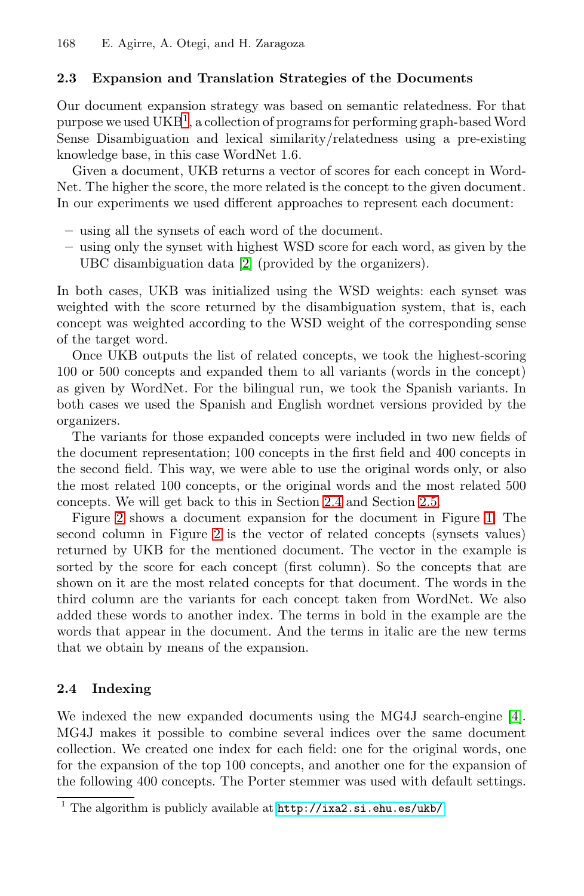#### 168 E. Agirre, A. Otegi, and H. Zaragoza

#### **2.3 Expansion and Translation Strategies of the Documents**

Our document expansion strategy was based on semantic relatedness. For that purpose we used  $UKB<sup>1</sup>$ , a collection of programs for performing graph-based Word Sense Disa[mb](#page-7-3)iguation and lexical similarity/relatedness using a pre-existing knowledge base, in this case WordNet 1.6.

Given a document, UKB returns a vector of scores for each concept in Word-Net. The higher the score, the more related is the concept to the given document. In our experiments we used different approaches to represent each document:

- **–** using all the synsets of each word of the document.
- **–** using only the synset with highest WSD score for each word, as given by the UBC disambiguation data [2] (provided by the organizers).

In both cases, UKB was initialized using the WSD weights: each synset was weighted with the score returned by the disambiguation system, that is, each concept was weighted according to the WSD weight of the corresponding sense of the target word.

Once UKB outputs the list of related concepts, we took the highest-scoring 100 or 500 concepts and [expa](#page-2-0)nded them [to a](#page-3-0)ll variants (words in the concept) as given by WordNet. For the bilingual run, we too[k](#page-3-1) the Spanish variants. In both c[ase](#page-3-2)s we used the Spanish and English wordnet versions provided by the organizers.

The variants for those expanded concepts were included in two new fields of the document representation; 100 concepts in the first field and 400 concepts in the second field. This way, we were able to use the original words only, or also the most related 100 concepts, or the original words and the most related 500 concepts. We will get back to this in Section 2.4 and Section 2.5.

<span id="page-2-0"></span>Figure 2 shows a document expansion for the document in Figure 1. The second column in Figure 2 is the vector of related concepts (synsets values) returned by UKB for the mentioned document. The vector in the example is sorted by the score for each concept (first column). So the concepts that are shown on it are the most related concepts for that document. The words in the third column are the variants for each concept taken fr[om](#page-7-4) WordNet. We also added these words to another index. The terms in bold in the example are the words that appear in the document. And the terms in italic are the new terms that we obtain by means of the expansion.

#### **2.4 Indexing**

We indexed the new expanded documents using the MG4J search-engine [4]. MG4J makes it possible to combine several indices over the same document collection. We created one index for each field: one for the original words, one for the expansion of the top 100 concepts, and another one for the expansion of the following 400 concepts. The Porter stemmer was used with default settings.

 $\frac{1}{1}$  The algorithm is publicly available at http://ixa2.si.ehu.es/ukb/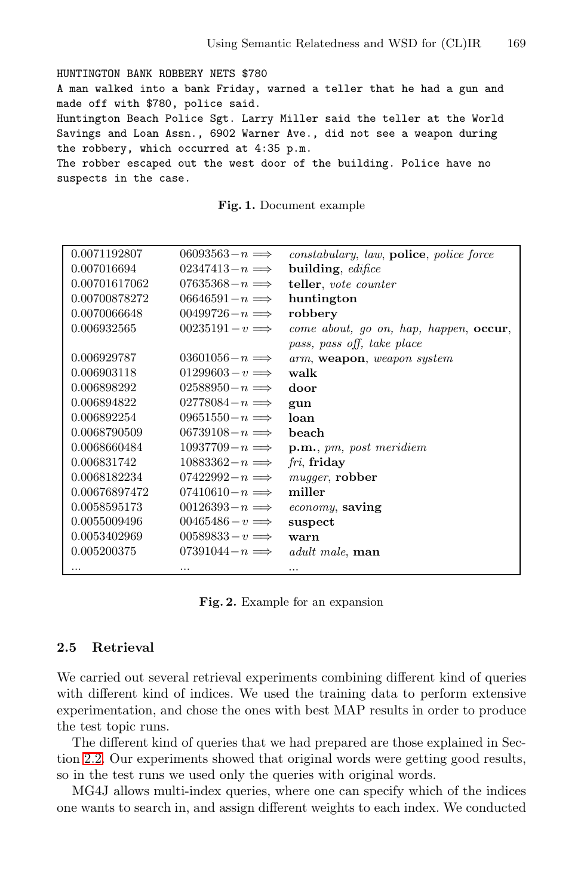<span id="page-3-1"></span>HUNTINGTON BANK ROBBERY NETS \$780 A man walked into a bank Friday, warned a teller that he had a gun and made off with \$780, police said. Huntington Beach Police Sgt. Larry Miller said the teller at the World Savings and Loan Assn., 6902 Warner Ave., did not see a weapon during the robbery, which occurred at 4:35 p.m. The robber escaped out the west door of the building. Police have no suspects in the case.

**Fig. 1.** Document example

| 0.0071192807  | $06093563 - n \Longrightarrow$ | <i>constabulary, law, police, police force</i> |
|---------------|--------------------------------|------------------------------------------------|
| 0.007016694   | $02347413 - n \Longrightarrow$ | building, edifice                              |
| 0.00701617062 | $07635368 - n \Longrightarrow$ | teller, vote counter                           |
| 0.00700878272 | $06646591 - n \Longrightarrow$ | huntington                                     |
| 0.0070066648  | $00499726 - n \Longrightarrow$ | robbery                                        |
| 0.006932565   | $00235191 - v \implies$        | come about, go on, hap, happen, occur,         |
|               |                                | pass, pass off, take place                     |
| 0.006929787   | $03601056 - n \Longrightarrow$ | arm, weapon, weapon system                     |
| 0.006903118   | $01299603 - v \implies$        | walk                                           |
| 0.006898292   | $02588950 - n \Longrightarrow$ | door                                           |
| 0.006894822   | $02778084 - n \Longrightarrow$ | gun                                            |
| 0.006892254   | $09651550 - n \Longrightarrow$ | loan                                           |
| 0.0068790509  | $06739108 - n \Longrightarrow$ | beach                                          |
| 0.0068660484  | $10937709 - n \implies$        | $\mathbf{p}.\mathbf{m}$ , pm, post meridiem    |
| 0.006831742   | $10883362 - n \Longrightarrow$ | fri, friday                                    |
| 0.0068182234  | $07422992 - n \Longrightarrow$ | <i>mugger</i> , <b>robber</b>                  |
| 0.00676897472 | $07410610 - n \Longrightarrow$ | miller                                         |
| 0.0058595173  | $00126393 - n \Longrightarrow$ | <i>economy</i> , saving                        |
| 0.0055009496  | $00465486 - v \implies$        | suspect                                        |
| 0.0053402969  | $00589833 - v \implies$        | warn                                           |
| 0.005200375   | $07391044 - n \implies$        | <i>adult male</i> , man                        |
| $\cdots$      | $\cdots$                       | .                                              |

<span id="page-3-2"></span>**Fig. 2.** Example for an expansion

#### <span id="page-3-0"></span>**2.5 Retrieval**

We carried out several retrieval experiments combining different kind of queries with different kind of indices. We used the training data to perform extensive experimentation, and chose the ones with best MAP results in order to produce the test topic runs.

The different kind of queries that we had prepared are those explained in Section 2.2. Our experiments showed that original words were getting good results, so in the test runs we used only the queries with original words.

MG4J allows multi-index queries, where one can specify which of the indices one wants to search in, and assign different weights to each index. We conducted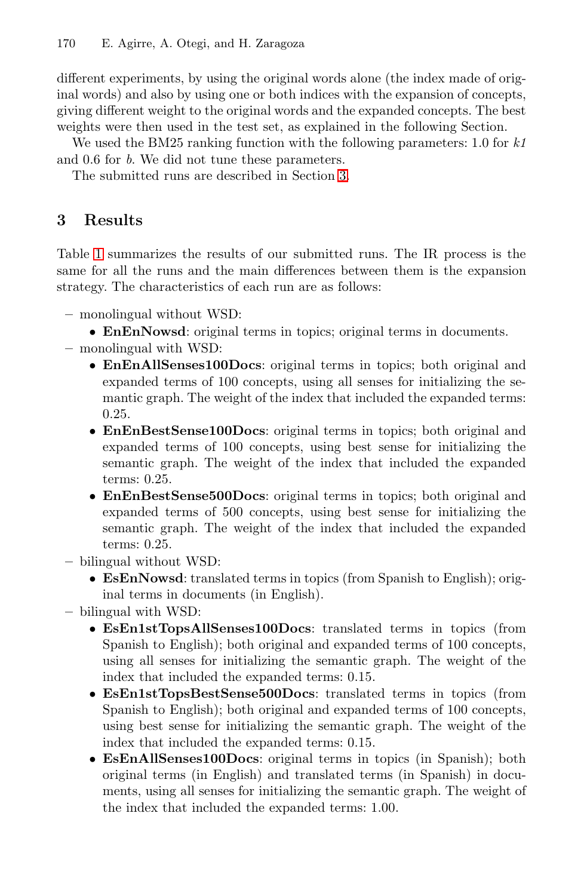#### 170 E. Agirre, A. Otegi, a[nd](#page-4-0) H. Zaragoza

<span id="page-4-0"></span>different experiments, by using the original words alone (the index made of original words) and also by using one or both indices with the expansion of concepts, giving different weight to the original words and the expanded concepts. The best weights were then used in the test set, as explained in the following Section.

We used the BM25 ranking function with the following parameters: 1.0 for *k1* and 0.6 for *b*. We did not tune these parameters.

The submitted runs are described in Section 3.

# **3 Results**

Table 1 summarizes the results of our submitted runs. The IR process is the same for all the runs and the main differences between them is the expansion strategy. The characteristics of each run are as follows:

- **–** monolingual without WSD:
- *•* **EnEnNowsd**: original terms in topics; original terms in documents. **–** monolingual with WSD:
	- *•* **EnEnAllSenses100Docs**: original terms in topics; both original and expanded terms of 100 concepts, using all senses for initializing the semantic graph. The weight of the index that included the expanded terms: 0.25.
	- *•* **EnEnBestSense100Docs**: original terms in topics; both original and expanded terms of 100 concepts, using best sense for initializing the semantic graph. The weight of the index that included the expanded terms: 0.25.
	- *•* **EnEnBestSense500Docs**: original terms in topics; both original and expanded terms of 500 concepts, using best sense for initializing the semantic graph. The weight of the index that included the expanded terms: 0.25.
- **–** bilingual without WSD:
	- *•* **EsEnNowsd**: translated terms in topics (from Spanish to English); original terms in documents (in English).
- **–** bilingual with WSD:
	- *•* **EsEn1stTopsAllSenses100Docs**: translated terms in topics (from Spanish to English); both original and expanded terms of 100 concepts, using all senses for initializing the semantic graph. The weight of the index that included the expanded terms: 0.15.
	- *•* **EsEn1stTopsBestSense500Docs**: translated terms in topics (from Spanish to English); both original and expanded terms of 100 concepts, using best sense for initializing the semantic graph. The weight of the index that included the expanded terms: 0.15.
	- *•* **EsEnAllSenses100Docs**: original terms in topics (in Spanish); both original terms (in English) and translated terms (in Spanish) in documents, using all senses for initializing the semantic graph. The weight of the index that included the expanded terms: 1.00.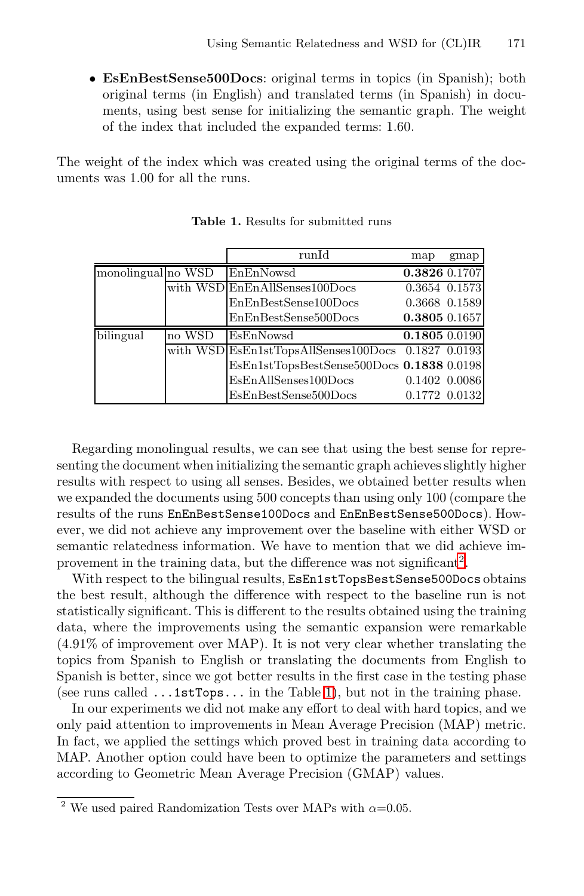<span id="page-5-1"></span>*•* **EsEnBestSense500Docs**: original terms in topics (in Spanish); both original terms (in English) and translated terms (in Spanish) in documents, using best sense for initializing the semantic graph. The weight of the index that included the expanded terms: 1.60.

The weight of the index which was created using the original terms of the documents was 1.00 for all the runs.

|                    |        | runId                                              | map           | gmap |
|--------------------|--------|----------------------------------------------------|---------------|------|
| monolingual no WSD |        | EnEnNowsd                                          | 0.3826 0.1707 |      |
|                    |        | with WSD EnEnAllSenses100Docs                      | 0.3654 0.1573 |      |
|                    |        | EnEnBestSense100Docs                               | 0.3668 0.1589 |      |
|                    |        | EnEnBestSense500Docs                               | 0.3805 0.1657 |      |
|                    |        |                                                    |               |      |
| bilingual          | no WSD | EsEnNowsd                                          | 0.1805 0.0190 |      |
|                    |        | with WSD EsEn1stTopsAllSenses100Docs 0.1827 0.0193 |               |      |
|                    |        | EsEn1stTopsBestSense500Docs 0.1838 0.0198          |               |      |
|                    |        | EsEnAllSenses100Docs                               | 0.1402 0.0086 |      |

**Table 1.** Results for submitted runs

Regarding monolingual results, we can see tha[t](#page-5-0) [u](#page-5-0)sing the best sense for representing the document when initializing the semantic graph achieves slightly higher results with respect to using all senses. Besides, we obtained better results when we expanded the documents using 500 concepts than using only 100 (compare the results of the runs EnEnBestSense100Docs and EnEnBestSense500Docs). However, we did not achieve any improvement over the baseline with either WSD or semantic relatedness information. We have to mention that we did achieve improvement in the training [da](#page-5-1)ta, but the difference was not significant<sup>2</sup>.

With respect to the bilingual results, EsEn1stTopsBestSense500Docs obtains the best result, although the difference with respect to the baseline run is not statistically significant. This is different to the results obtained using the training data, where the improvements using the semantic expansion were remarkable (4.91% of improvement over MAP). It is not very clear whether translating the topics from Spanish to English or translating the documents from English to Spanish is better, since we got better results in the first case in the testing phase (see runs called ...1stTops... in the Table 1), but not in the training phase.

<span id="page-5-0"></span>In our experiments we did not make any effort to deal with hard topics, and we only paid attention to improvements in Mean Average Precision (MAP) metric. In fact, we applied the settings which proved best in training data according to MAP. Another option could have been to optimize the parameters and settings according to Geometric Mean Average Precision (GMAP) values.

<sup>&</sup>lt;sup>2</sup> We used paired Randomization Tests over MAPs with  $\alpha$ =0.05.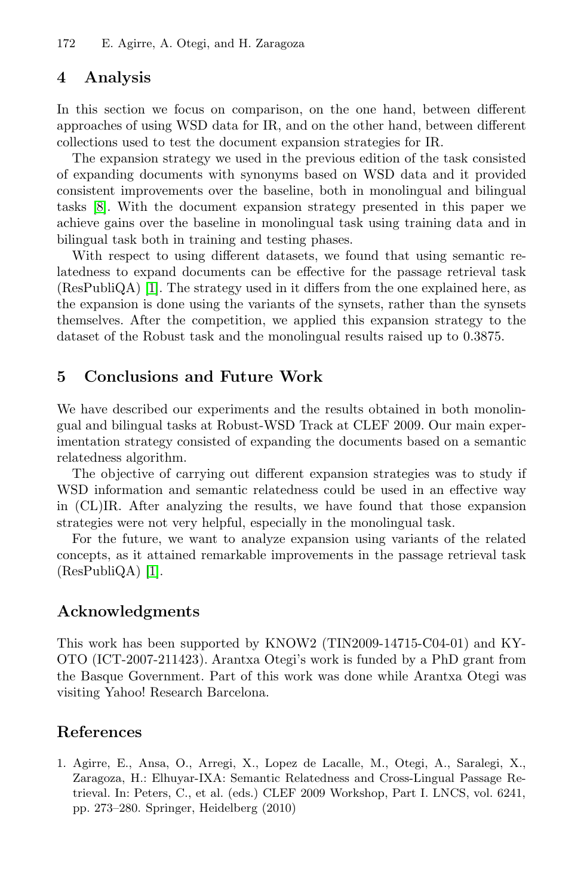## <span id="page-6-0"></span>**4 Analysis**

In this section we focus on comparison, on the one hand, between different approaches of using WSD data for IR, and on the other hand, between different collections used to test the document expansion strategies for IR.

The expansion strategy we used in the previous edition of the task consisted of expanding documents with synonyms based on WSD data and it provided consistent improvements over the baseline, both in monolingual and bilingual tasks [8]. With the document expansion strategy presented in this paper we achieve gains over the baseline in monolingual task using training data and in bilingual task both in training and testing phases.

<span id="page-6-1"></span>With respect to using different datasets, we found that using semantic relatedness to expand documents can be effective for the passage retrieval task (ResPubliQA) [1]. The strategy used in it differs from the one explained here, as the expansion is done using the variants of the synsets, rather than the synsets themselves. After the competition, we applied this expansion strategy to the dataset of the Robust task and the monolingual results raised up to 0.3875.

# **5 Conclusions and Future Work**

We have described our experiments and the results obtained in both monolingual and bilingual tasks at Robust-WSD Track at CLEF 2009. Our main experimentation strategy consisted of expanding the documents based on a semantic relatedness algorithm.

The objective of carrying out different expansion strategies was to study if WSD information and semantic relatedness could be used in an effective way in (CL)IR. After analyzing the results, we have found that those expansion strategies were not very helpful, especially in the monolingual task.

For the future, we want to analyze expansion using variants of the related concepts, as it attained remarkable improvements in the passage retrieval task (ResPubliQA) [1].

# **Acknowledgments**

This work has been supported by KNOW2 (TIN2009-14715-C04-01) and KY-OTO (ICT-2007-211423). Arantxa Otegi's work is funded by a PhD grant from the Basque Government. Part of this work was done while Arantxa Otegi was visiting Yahoo! Research Barcelona.

# **References**

1. Agirre, E., Ansa, O., Arregi, X., Lopez de Lacalle, M., Otegi, A., Saralegi, X., Zaragoza, H.: Elhuyar-IXA: Semantic Relatedness and Cross-Lingual Passage Retrieval. In: Peters, C., et al. (eds.) CLEF 2009 Workshop, Part I. LNCS, vol. 6241, pp. 273–280. Springer, Heidelberg (2010)